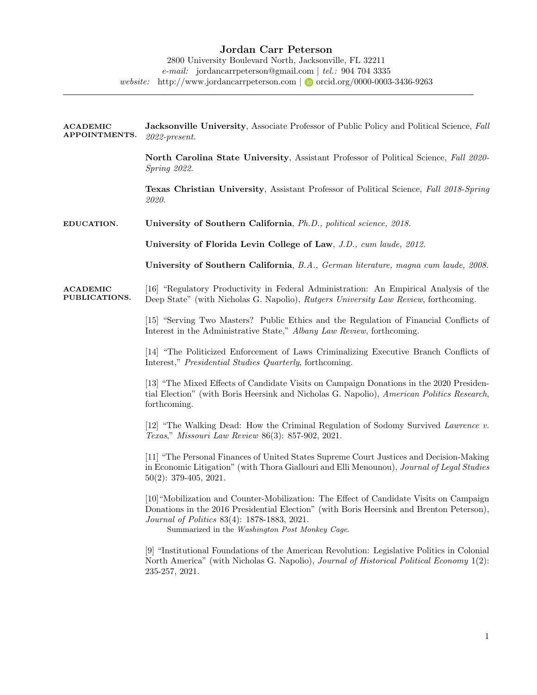## Jordan Carr Peterson

2800 University Boulevard North, Jacksonville, FL 32211 e-mail: jordancarrpeterson@gmail.com | tel.: 904 704 3335 website: http://www.jordancarrpeterson.com |  $\bullet$  [orcid.org/0000-0003-3436-9263](https://orcid.org/0000-0003-3436-9263)

| <b>ACADEMIC</b><br>APPOINTMENTS.        | Jacksonville University, Associate Professor of Public Policy and Political Science, Fall<br>$2022$ -present.                                                                                                                                                                                |  |
|-----------------------------------------|----------------------------------------------------------------------------------------------------------------------------------------------------------------------------------------------------------------------------------------------------------------------------------------------|--|
|                                         | North Carolina State University, Assistant Professor of Political Science, Fall 2020-<br>Spring 2022.                                                                                                                                                                                        |  |
|                                         | <b>Texas Christian University, Assistant Professor of Political Science, Fall 2018-Spring</b><br>2020.                                                                                                                                                                                       |  |
| <b>EDUCATION.</b>                       | University of Southern California, Ph.D., political science, 2018.                                                                                                                                                                                                                           |  |
|                                         | University of Florida Levin College of Law, J.D., cum laude, 2012.                                                                                                                                                                                                                           |  |
|                                         | University of Southern California, B.A., German literature, magna cum laude, 2008.                                                                                                                                                                                                           |  |
| <b>ACADEMIC</b><br><b>PUBLICATIONS.</b> | [16] "Regulatory Productivity in Federal Administration: An Empirical Analysis of the<br>Deep State" (with Nicholas G. Napolio), <i>Rutgers University Law Review</i> , forthcoming.                                                                                                         |  |
|                                         | [15] "Serving Two Masters? Public Ethics and the Regulation of Financial Conflicts of<br>Interest in the Administrative State," Albany Law Review, forthcoming.                                                                                                                              |  |
|                                         | [14] "The Politicized Enforcement of Laws Criminalizing Executive Branch Conflicts of<br>Interest," Presidential Studies Quarterly, forthcoming.                                                                                                                                             |  |
|                                         | [13] "The Mixed Effects of Candidate Visits on Campaign Donations in the 2020 Presiden-<br>tial Election" (with Boris Heersink and Nicholas G. Napolio), American Politics Research,<br>forthcoming.                                                                                         |  |
|                                         | [12] "The Walking Dead: How the Criminal Regulation of Sodomy Survived Lawrence v.<br>Texas," Missouri Law Review 86(3): 857-902, 2021.                                                                                                                                                      |  |
|                                         | [11] "The Personal Finances of United States Supreme Court Justices and Decision-Making<br>in Economic Litigation" (with Thora Giallouri and Elli Menounou), Journal of Legal Studies<br>$50(2): 379-405, 2021.$                                                                             |  |
|                                         | [10] "Mobilization and Counter-Mobilization: The Effect of Candidate Visits on Campaign<br>Donations in the 2016 Presidential Election" (with Boris Heersink and Brenton Peterson),<br>Journal of Politics 83(4): 1878-1883, 2021.<br>Summarized in the <i>Washington Post Monkey Cage</i> . |  |
|                                         | [9] "Institutional Foundations of the American Revolution: Legislative Politics in Colonial<br>North America" (with Nicholas G. Napolio), Journal of Historical Political Economy 1(2):<br>235-257, 2021.                                                                                    |  |
|                                         |                                                                                                                                                                                                                                                                                              |  |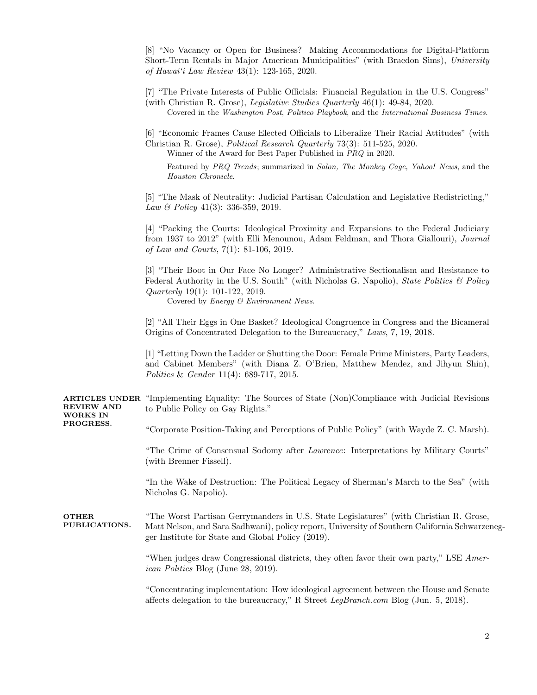|                                            | [8] "No Vacancy or Open for Business? Making Accommodations for Digital-Platform<br>Short-Term Rentals in Major American Municipalities" (with Braedon Sims), University<br>of Hawai'i Law Review $43(1)$ : 123-165, 2020.                                                       |
|--------------------------------------------|----------------------------------------------------------------------------------------------------------------------------------------------------------------------------------------------------------------------------------------------------------------------------------|
|                                            | [7] "The Private Interests of Public Officials: Financial Regulation in the U.S. Congress"<br>(with Christian R. Grose), <i>Legislative Studies Quarterly</i> $46(1)$ : 49-84, 2020.<br>Covered in the Washington Post, Politico Playbook, and the International Business Times. |
|                                            | [6] "Economic Frames Cause Elected Officials to Liberalize Their Racial Attitudes" (with<br>Christian R. Grose), Political Research Quarterly 73(3): 511-525, 2020.<br>Winner of the Award for Best Paper Published in PRQ in 2020.                                              |
|                                            | Featured by PRQ Trends; summarized in Salon, The Monkey Cage, Yahoo! News, and the<br>Houston Chronicle.                                                                                                                                                                         |
|                                            | [5] "The Mask of Neutrality: Judicial Partisan Calculation and Legislative Redistricting,"<br>Law & Policy 41(3): 336-359, 2019.                                                                                                                                                 |
|                                            | [4] "Packing the Courts: Ideological Proximity and Expansions to the Federal Judiciary<br>from 1937 to 2012" (with Elli Menounou, Adam Feldman, and Thora Giallouri), Journal<br>of Law and Courts, $7(1)$ : 81-106, 2019.                                                       |
|                                            | [3] "Their Boot in Our Face No Longer? Administrative Sectionalism and Resistance to<br>Federal Authority in the U.S. South" (with Nicholas G. Napolio), State Politics & Policy<br>Quarterly $19(1)$ : 101-122, 2019.<br>Covered by <i>Energy</i> & <i>Environment News.</i>    |
|                                            | [2] "All Their Eggs in One Basket? Ideological Congruence in Congress and the Bicameral<br>Origins of Concentrated Delegation to the Bureaucracy," Laws, 7, 19, 2018.                                                                                                            |
|                                            | [1] "Letting Down the Ladder or Shutting the Door: Female Prime Ministers, Party Leaders,<br>and Cabinet Members" (with Diana Z. O'Brien, Matthew Mendez, and Jihyun Shin),<br>Politics & Gender $11(4)$ : 689-717, 2015.                                                        |
| <b>REVIEW AND</b><br>WORKS IN<br>PROGRESS. | <b>ARTICLES UNDER</b> "Implementing Equality: The Sources of State (Non)Compliance with Judicial Revisions<br>to Public Policy on Gay Rights."                                                                                                                                   |
|                                            | "Corporate Position-Taking and Perceptions of Public Policy" (with Wayde Z. C. Marsh).                                                                                                                                                                                           |
|                                            | "The Crime of Consensual Sodomy after <i>Lawrence</i> : Interpretations by Military Courts"<br>(with Brenner Fissell).                                                                                                                                                           |
|                                            | "In the Wake of Destruction: The Political Legacy of Sherman's March to the Sea" (with<br>Nicholas G. Napolio).                                                                                                                                                                  |
| <b>OTHER</b><br><b>PUBLICATIONS.</b>       | "The Worst Partisan Gerrymanders in U.S. State Legislatures" (with Christian R. Grose,<br>Matt Nelson, and Sara Sadhwani), policy report, University of Southern California Schwarzeneg-<br>ger Institute for State and Global Policy (2019).                                    |
|                                            | "When judges draw Congressional districts, they often favor their own party," LSE Amer-<br><i>ican Politics</i> Blog (June 28, 2019).                                                                                                                                            |
|                                            | "Concentrating implementation: How ideological agreement between the House and Senate<br>affects delegation to the bureaucracy," R Street LegBranch.com Blog (Jun. 5, 2018).                                                                                                     |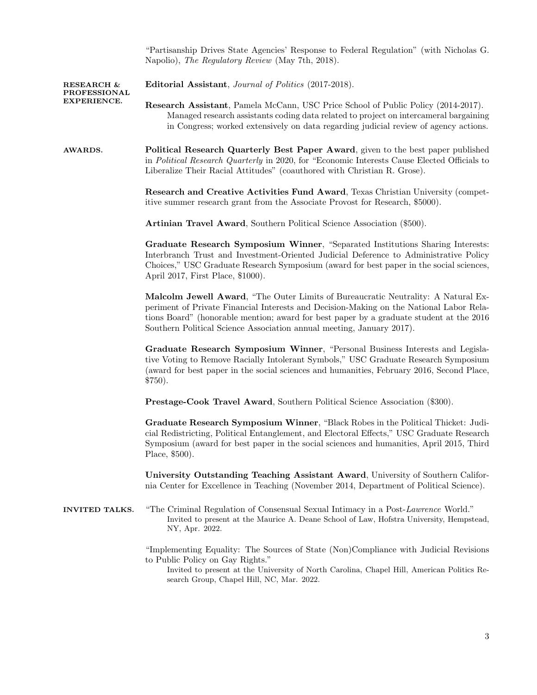["Partisanship Drives State Agencies' Response to Federal Regulation"](https://www.theregreview.org/2018/05/07/napolio-peterson-partisanship-state-agencies-resistance-federal-regulation/) (with [Nicholas G.](http://www.nicholasnapolio.com) [Napolio\)](http://www.nicholasnapolio.com), The Regulatory Review (May 7th, 2018).

Editorial Assistant, Journal of Politics (2017-2018).

PROFESSIONAL EXPERIENCE.

RESEARCH &

Research Assistant, Pamela McCann, USC Price School of Public Policy (2014-2017). Managed research assistants coding data related to project on intercameral bargaining in Congress; worked extensively on data regarding judicial review of agency actions.

AWARDS. Political Research Quarterly Best Paper Award, given to the best paper published in Political Research Quarterly in 2020, for "Economic Interests Cause Elected Officials to Liberalize Their Racial Attitudes" (coauthored with Christian R. Grose).

> Research and Creative Activities Fund Award, Texas Christian University (competitive summer research grant from the Associate Provost for Research, \$5000).

Artinian Travel Award, Southern Political Science Association (\$500).

Graduate Research Symposium Winner, "Separated Institutions Sharing Interests: Interbranch Trust and Investment-Oriented Judicial Deference to Administrative Policy Choices," USC Graduate Research Symposium (award for best paper in the social sciences, April 2017, First Place, \$1000).

Malcolm Jewell Award, "The Outer Limits of Bureaucratic Neutrality: A Natural Experiment of Private Financial Interests and Decision-Making on the National Labor Relations Board" (honorable mention; award for best paper by a graduate student at the 2016 Southern Political Science Association annual meeting, January 2017).

Graduate Research Symposium Winner, "Personal Business Interests and Legislative Voting to Remove Racially Intolerant Symbols," USC Graduate Research Symposium (award for best paper in the social sciences and humanities, February 2016, Second Place, \$750).

Prestage-Cook Travel Award, Southern Political Science Association (\$300).

Graduate Research Symposium Winner, "Black Robes in the Political Thicket: Judicial Redistricting, Political Entanglement, and Electoral Effects," USC Graduate Research Symposium (award for best paper in the social sciences and humanities, April 2015, Third Place, \$500).

University Outstanding Teaching Assistant Award, University of Southern California Center for Excellence in Teaching (November 2014, Department of Political Science).

INVITED TALKS. "The Criminal Regulation of Consensual Sexual Intimacy in a Post-Lawrence World." Invited to present at the Maurice A. Deane School of Law, Hofstra University, Hempstead, NY, Apr. 2022.

> "Implementing Equality: The Sources of State (Non)Compliance with Judicial Revisions to Public Policy on Gay Rights."

Invited to present at the University of North Carolina, Chapel Hill, American Politics Research Group, Chapel Hill, NC, Mar. 2022.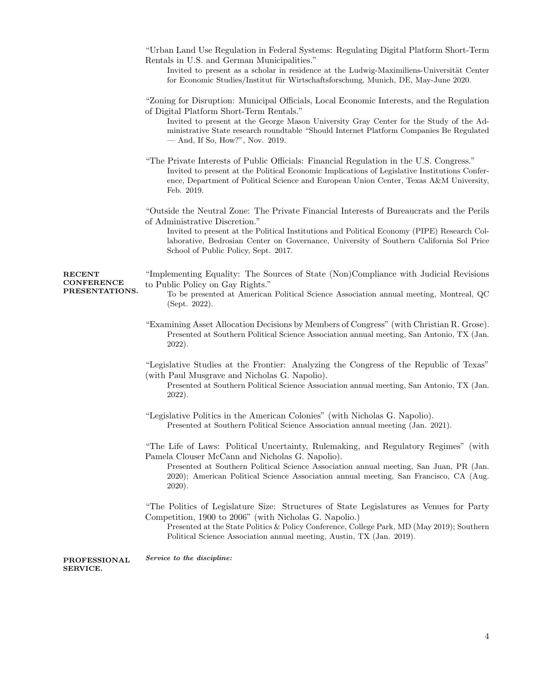| <b>PROFESSIONAL</b><br><b>SERVICE.</b>               | Service to the discipline:                                                                                                                                                                                                                                                                                                                                    |
|------------------------------------------------------|---------------------------------------------------------------------------------------------------------------------------------------------------------------------------------------------------------------------------------------------------------------------------------------------------------------------------------------------------------------|
|                                                      | "The Politics of Legislature Size: Structures of State Legislatures as Venues for Party<br>Competition, 1900 to 2006" (with Nicholas G. Napolio.)<br>Presented at the State Politics & Policy Conference, College Park, MD (May 2019); Southern<br>Political Science Association annual meeting, Austin, TX (Jan. 2019).                                      |
|                                                      | "The Life of Laws: Political Uncertainty, Rulemaking, and Regulatory Regimes" (with<br>Pamela Clouser McCann and Nicholas G. Napolio).<br>Presented at Southern Political Science Association annual meeting, San Juan, PR (Jan.<br>2020); American Political Science Association annual meeting, San Francisco, CA (Aug.<br>$2020$ ).                        |
|                                                      | "Legislative Politics in the American Colonies" (with Nicholas G. Napolio).<br>Presented at Southern Political Science Association annual meeting (Jan. 2021).                                                                                                                                                                                                |
|                                                      | "Legislative Studies at the Frontier: Analyzing the Congress of the Republic of Texas"<br>(with Paul Musgrave and Nicholas G. Napolio).<br>Presented at Southern Political Science Association annual meeting, San Antonio, TX (Jan.<br>$2022$ ).                                                                                                             |
|                                                      | "Examining Asset Allocation Decisions by Members of Congress" (with Christian R. Grose).<br>Presented at Southern Political Science Association annual meeting, San Antonio, TX (Jan.<br>$2022$ ).                                                                                                                                                            |
| <b>RECENT</b><br><b>CONFERENCE</b><br>PRESENTATIONS. | "Implementing Equality: The Sources of State (Non)Compliance with Judicial Revisions<br>to Public Policy on Gay Rights."<br>To be presented at American Political Science Association annual meeting, Montreal, QC<br>(Sept. 2022).                                                                                                                           |
|                                                      | "Outside the Neutral Zone: The Private Financial Interests of Bureaucrats and the Perils<br>of Administrative Discretion."<br>Invited to present at the Political Institutions and Political Economy (PIPE) Research Col-<br>laborative, Bedrosian Center on Governance, University of Southern California Sol Price<br>School of Public Policy, Sept. 2017.  |
|                                                      | "The Private Interests of Public Officials: Financial Regulation in the U.S. Congress."<br>Invited to present at the Political Economic Implications of Legislative Institutions Confer-<br>ence, Department of Political Science and European Union Center, Texas A&M University,<br>Feb. 2019.                                                              |
|                                                      | "Zoning for Disruption: Municipal Officials, Local Economic Interests, and the Regulation<br>of Digital Platform Short-Term Rentals."<br>Invited to present at the George Mason University Gray Center for the Study of the Ad-<br>ministrative State research roundtable "Should Internet Platform Companies Be Regulated<br>— And, If So, How?", Nov. 2019. |
|                                                      | "Urban Land Use Regulation in Federal Systems: Regulating Digital Platform Short-Term<br>Rentals in U.S. and German Municipalities."<br>Invited to present as a scholar in residence at the Ludwig-Maximiliens-Universität Center<br>for Economic Studies/Institut für Wirtschaftsforschung, Munich, DE, May-June 2020.                                       |
|                                                      |                                                                                                                                                                                                                                                                                                                                                               |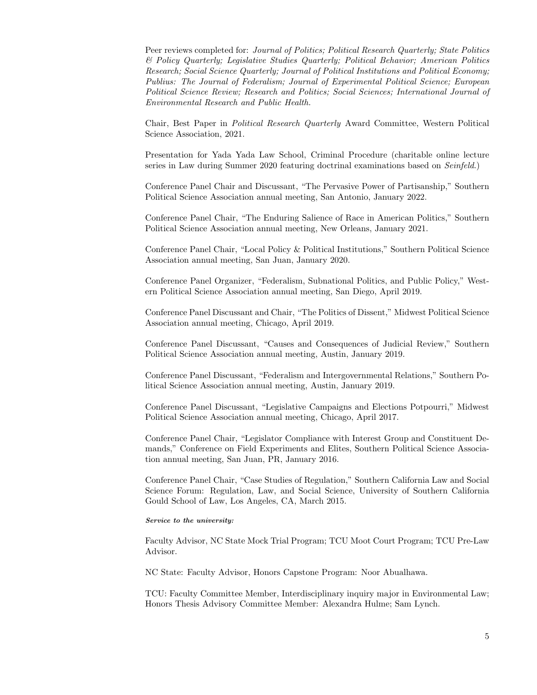Peer reviews completed for: Journal of Politics; Political Research Quarterly; State Politics & Policy Quarterly; Legislative Studies Quarterly; Political Behavior; American Politics Research; Social Science Quarterly; Journal of Political Institutions and Political Economy; Publius: The Journal of Federalism; Journal of Experimental Political Science; European Political Science Review; Research and Politics; Social Sciences; International Journal of Environmental Research and Public Health.

Chair, Best Paper in Political Research Quarterly Award Committee, Western Political Science Association, 2021.

Presentation for Yada Yada Law School, Criminal Procedure (charitable online lecture series in Law during Summer 2020 featuring doctrinal examinations based on Seinfeld.)

Conference Panel Chair and Discussant, "The Pervasive Power of Partisanship," Southern Political Science Association annual meeting, San Antonio, January 2022.

Conference Panel Chair, "The Enduring Salience of Race in American Politics," Southern Political Science Association annual meeting, New Orleans, January 2021.

Conference Panel Chair, "Local Policy & Political Institutions," Southern Political Science Association annual meeting, San Juan, January 2020.

Conference Panel Organizer, "Federalism, Subnational Politics, and Public Policy," Western Political Science Association annual meeting, San Diego, April 2019.

Conference Panel Discussant and Chair, "The Politics of Dissent," Midwest Political Science Association annual meeting, Chicago, April 2019.

Conference Panel Discussant, "Causes and Consequences of Judicial Review," Southern Political Science Association annual meeting, Austin, January 2019.

Conference Panel Discussant, "Federalism and Intergovernmental Relations," Southern Political Science Association annual meeting, Austin, January 2019.

Conference Panel Discussant, "Legislative Campaigns and Elections Potpourri," Midwest Political Science Association annual meeting, Chicago, April 2017.

Conference Panel Chair, "Legislator Compliance with Interest Group and Constituent Demands," Conference on Field Experiments and Elites, Southern Political Science Association annual meeting, San Juan, PR, January 2016.

Conference Panel Chair, "Case Studies of Regulation," Southern California Law and Social Science Forum: Regulation, Law, and Social Science, University of Southern California Gould School of Law, Los Angeles, CA, March 2015.

Service to the university:

Faculty Advisor, NC State Mock Trial Program; TCU Moot Court Program; TCU Pre-Law Advisor.

NC State: Faculty Advisor, Honors Capstone Program: Noor Abualhawa.

TCU: Faculty Committee Member, Interdisciplinary inquiry major in Environmental Law; Honors Thesis Advisory Committee Member: Alexandra Hulme; Sam Lynch.